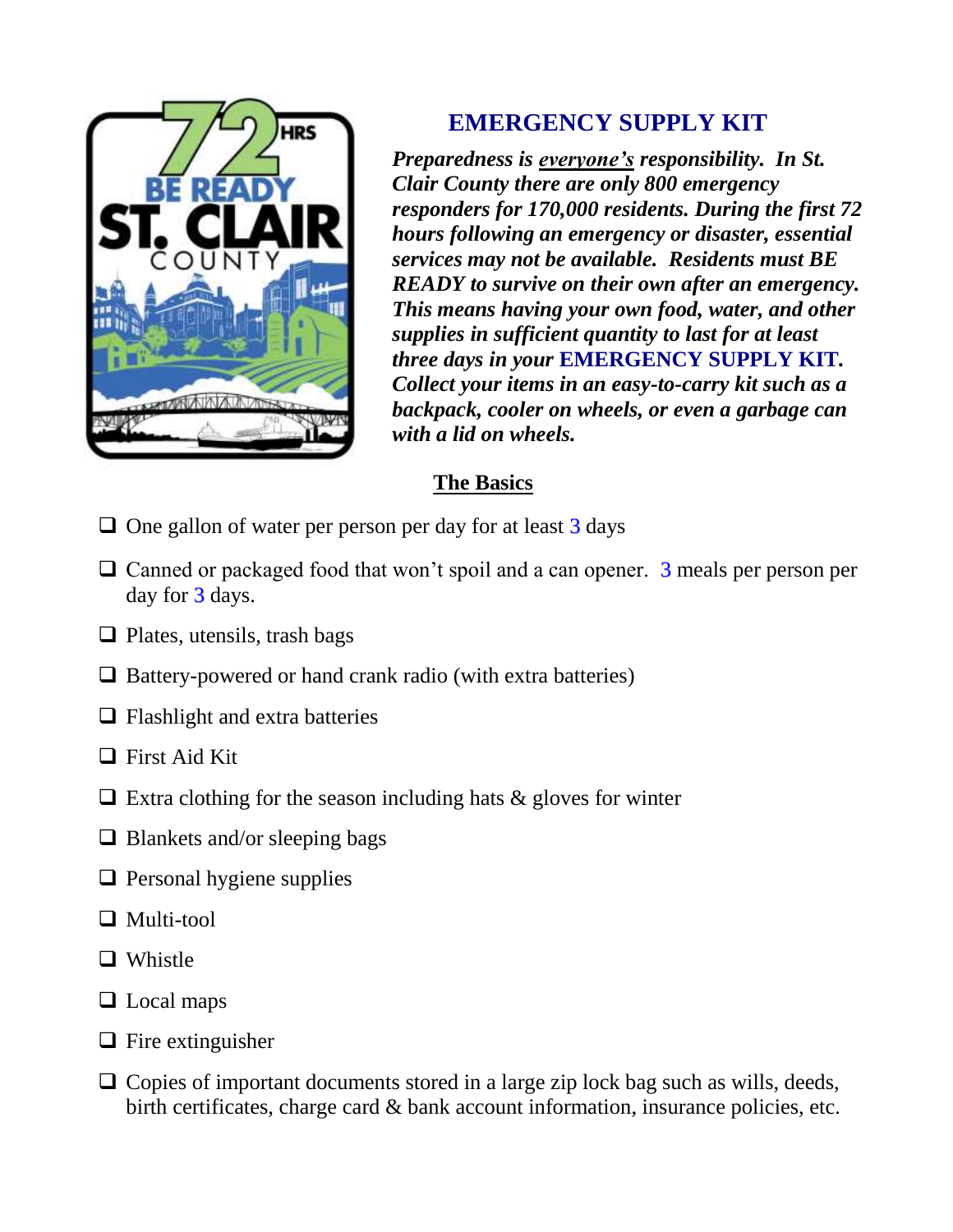

# **EMERGENCY SUPPLY KIT**

*Preparedness is everyone's responsibility. In St. Clair County there are only 800 emergency responders for 170,000 residents. During the first 72 hours following an emergency or disaster, essential services may not be available. Residents must BE READY to survive on their own after an emergency. This means having your own food, water, and other supplies in sufficient quantity to last for at least three days in your* **EMERGENCY SUPPLY KIT***. Collect your items in an easy-to-carry kit such as a backpack, cooler on wheels, or even a garbage can with a lid on wheels.*

#### **The Basics**

- $\Box$  One gallon of water per person per day for at least 3 days
- $\Box$  Canned or packaged food that won't spoil and a can opener. 3 meals per person per day for  $3$  days.
- $\Box$  Plates, utensils, trash bags
- $\Box$  Battery-powered or hand crank radio (with extra batteries)
- $\Box$  Flashlight and extra batteries
- $\Box$  First Aid Kit
- $\Box$  Extra clothing for the season including hats & gloves for winter
- $\Box$  Blankets and/or sleeping bags
- $\Box$  Personal hygiene supplies
- □ Multi-tool
- □ Whistle
- □ Local maps
- $\Box$  Fire extinguisher
- $\Box$  Copies of important documents stored in a large zip lock bag such as wills, deeds, birth certificates, charge card & bank account information, insurance policies, etc.